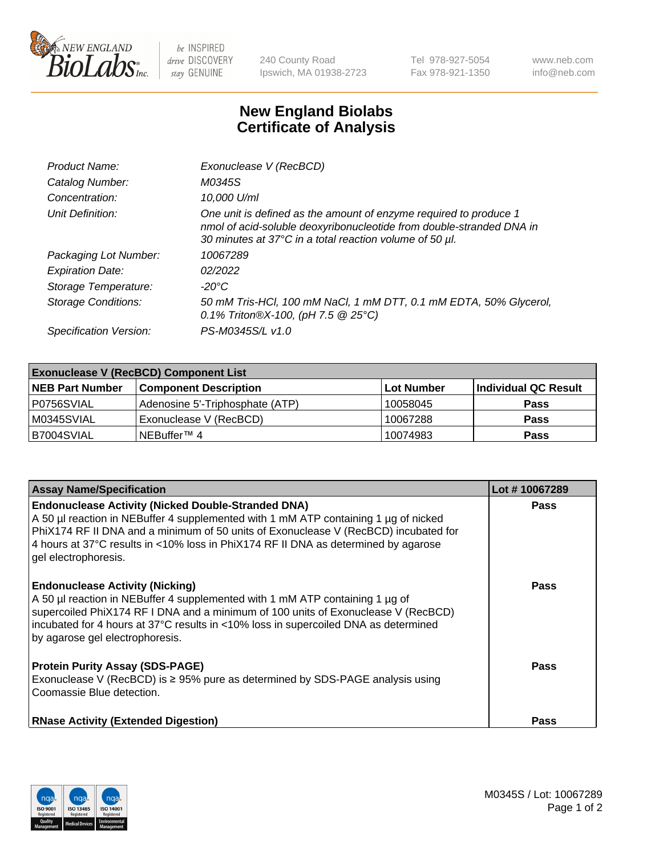

be INSPIRED drive DISCOVERY stay GENUINE

240 County Road Ipswich, MA 01938-2723 Tel 978-927-5054 Fax 978-921-1350 www.neb.com info@neb.com

## **New England Biolabs Certificate of Analysis**

| Product Name:              | Exonuclease V (RecBCD)                                                                                                                                                                               |
|----------------------------|------------------------------------------------------------------------------------------------------------------------------------------------------------------------------------------------------|
| Catalog Number:            | M0345S                                                                                                                                                                                               |
| Concentration:             | 10,000 U/ml                                                                                                                                                                                          |
| Unit Definition:           | One unit is defined as the amount of enzyme required to produce 1<br>nmol of acid-soluble deoxyribonucleotide from double-stranded DNA in<br>30 minutes at 37°C in a total reaction volume of 50 µl. |
| Packaging Lot Number:      | 10067289                                                                                                                                                                                             |
| <b>Expiration Date:</b>    | 02/2022                                                                                                                                                                                              |
| Storage Temperature:       | $-20^{\circ}$ C                                                                                                                                                                                      |
| <b>Storage Conditions:</b> | 50 mM Tris-HCl, 100 mM NaCl, 1 mM DTT, 0.1 mM EDTA, 50% Glycerol,<br>0.1% Triton®X-100, (pH 7.5 $@25°C$ )                                                                                            |
| Specification Version:     | PS-M0345S/L v1.0                                                                                                                                                                                     |

| <b>Exonuclease V (RecBCD) Component List</b> |                                 |                   |                      |  |
|----------------------------------------------|---------------------------------|-------------------|----------------------|--|
| <b>NEB Part Number</b>                       | <b>Component Description</b>    | <b>Lot Number</b> | Individual QC Result |  |
| I P0756SVIAL                                 | Adenosine 5'-Triphosphate (ATP) | 10058045          | <b>Pass</b>          |  |
| M0345SVIAL                                   | Exonuclease V (RecBCD)          | 10067288          | <b>Pass</b>          |  |
| B7004SVIAL                                   | INEBuffer™ 4                    | 10074983          | <b>Pass</b>          |  |

| <b>Assay Name/Specification</b>                                                                                                                                                                                                                                                                                                                       | Lot #10067289 |
|-------------------------------------------------------------------------------------------------------------------------------------------------------------------------------------------------------------------------------------------------------------------------------------------------------------------------------------------------------|---------------|
| <b>Endonuclease Activity (Nicked Double-Stranded DNA)</b><br>A 50 µl reaction in NEBuffer 4 supplemented with 1 mM ATP containing 1 µg of nicked<br>PhiX174 RF II DNA and a minimum of 50 units of Exonuclease V (RecBCD) incubated for<br>4 hours at 37°C results in <10% loss in PhiX174 RF II DNA as determined by agarose<br>gel electrophoresis. | <b>Pass</b>   |
| <b>Endonuclease Activity (Nicking)</b><br>A 50 µl reaction in NEBuffer 4 supplemented with 1 mM ATP containing 1 µg of<br>supercoiled PhiX174 RF I DNA and a minimum of 100 units of Exonuclease V (RecBCD)<br>incubated for 4 hours at 37°C results in <10% loss in supercoiled DNA as determined<br>by agarose gel electrophoresis.                 | <b>Pass</b>   |
| <b>Protein Purity Assay (SDS-PAGE)</b><br>Exonuclease V (RecBCD) is $\geq$ 95% pure as determined by SDS-PAGE analysis using<br>Coomassie Blue detection.                                                                                                                                                                                             | <b>Pass</b>   |
| <b>RNase Activity (Extended Digestion)</b>                                                                                                                                                                                                                                                                                                            | Pass          |